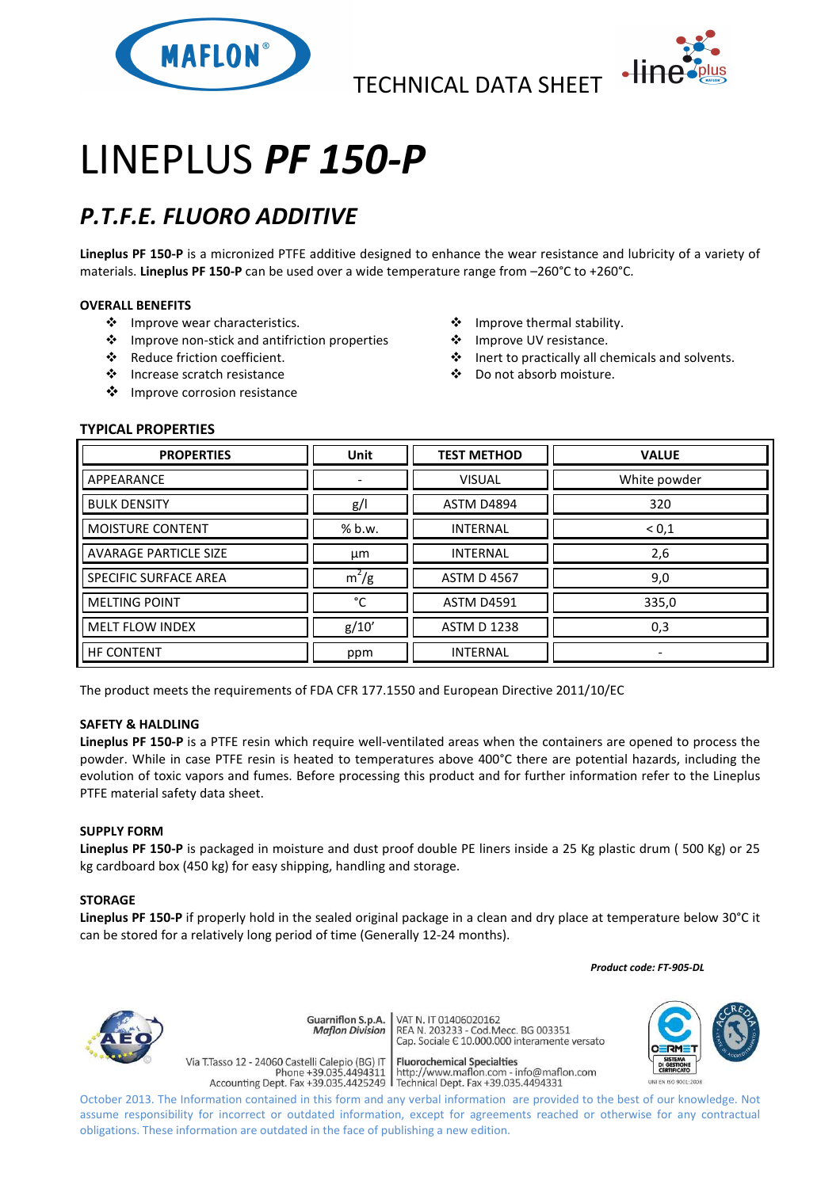

TECHNICAL DATA SHEET



# LINEPLUS *PF 150-P*

## *P.T.F.E. FLUORO ADDITIVE*

**Lineplus PF 150-P** is a micronized PTFE additive designed to enhance the wear resistance and lubricity of a variety of materials. **Lineplus PF 150-P** can be used over a wide temperature range from –260°C to +260°C.

### **OVERALL BENEFITS**

- ❖ Improve wear characteristics.
- Improve non-stick and antifriction properties
- Reduce friction coefficient.
- Increase scratch resistance
- ❖ Improve corrosion resistance
- ❖ Improve thermal stability.
- ❖ Improve UV resistance.
- Inert to practically all chemicals and solvents.
- Do not absorb moisture.

### **TYPICAL PROPERTIES**

| <b>PROPERTIES</b>            | <b>Unit</b> | <b>TEST METHOD</b> | <b>VALUE</b>             |
|------------------------------|-------------|--------------------|--------------------------|
| APPEARANCE                   |             | <b>VISUAL</b>      | White powder             |
| <b>BULK DENSITY</b>          | g/          | <b>ASTM D4894</b>  | 320                      |
| <b>MOISTURE CONTENT</b>      | % b.w.      | <b>INTERNAL</b>    | ${}^{<}0,1$              |
| <b>AVARAGE PARTICLE SIZE</b> | μm          | <b>INTERNAL</b>    | 2,6                      |
| SPECIFIC SURFACE AREA        | $m^2/g$     | <b>ASTM D 4567</b> | 9,0                      |
| <b>MELTING POINT</b>         | °C          | <b>ASTM D4591</b>  | 335,0                    |
| <b>MELT FLOW INDEX</b>       | g/10'       | <b>ASTM D 1238</b> | 0,3                      |
| <b>HF CONTENT</b>            | ppm         | <b>INTERNAL</b>    | $\overline{\phantom{0}}$ |

The product meets the requirements of FDA CFR 177.1550 and European Directive 2011/10/EC

#### **SAFETY & HALDLING**

**Lineplus PF 150-P** is a PTFE resin which require well-ventilated areas when the containers are opened to process the powder. While in case PTFE resin is heated to temperatures above 400°C there are potential hazards, including the evolution of toxic vapors and fumes. Before processing this product and for further information refer to the Lineplus PTFE material safety data sheet.

#### **SUPPLY FORM**

**Lineplus PF 150-P** is packaged in moisture and dust proof double PE liners inside a 25 Kg plastic drum ( 500 Kg) or 25 kg cardboard box (450 kg) for easy shipping, handling and storage.

#### **STORAGE**

**Lineplus PF 150-P** if properly hold in the sealed original package in a clean and dry place at temperature below 30°C it can be stored for a relatively long period of time (Generally 12-24 months).

 *Product code: FT-905-DL*



VAT N. IT 01406020162 Guarniflon S.p.A. REA N. 11 01400020102<br>REA N. 203233 - Cod.Mecc. BG 003351<br>Cap. Sociale E 10.000.000 interamente versato **Maflon Division** 

Via T.Tasso 12 - 24060 Castelli Calepio (BG) IT **Fluorochemical Specialties** rideso 12 - 24060 Castelli Calepio (BG) if<br>Phone +39.035.4494311 http://www.maflon.com - info@maflon.com<br>Accounting Dept. Fax +39.035.4425249 Technical Dept. Fax +39.035.4494331

October 2013. The Information contained in this form and any verbal information are provided to the best of our knowledge. Not assume responsibility for incorrect or outdated information, except for agreements reached or otherwise for any contractual obligations. These information are outdated in the face of publishing a new edition.